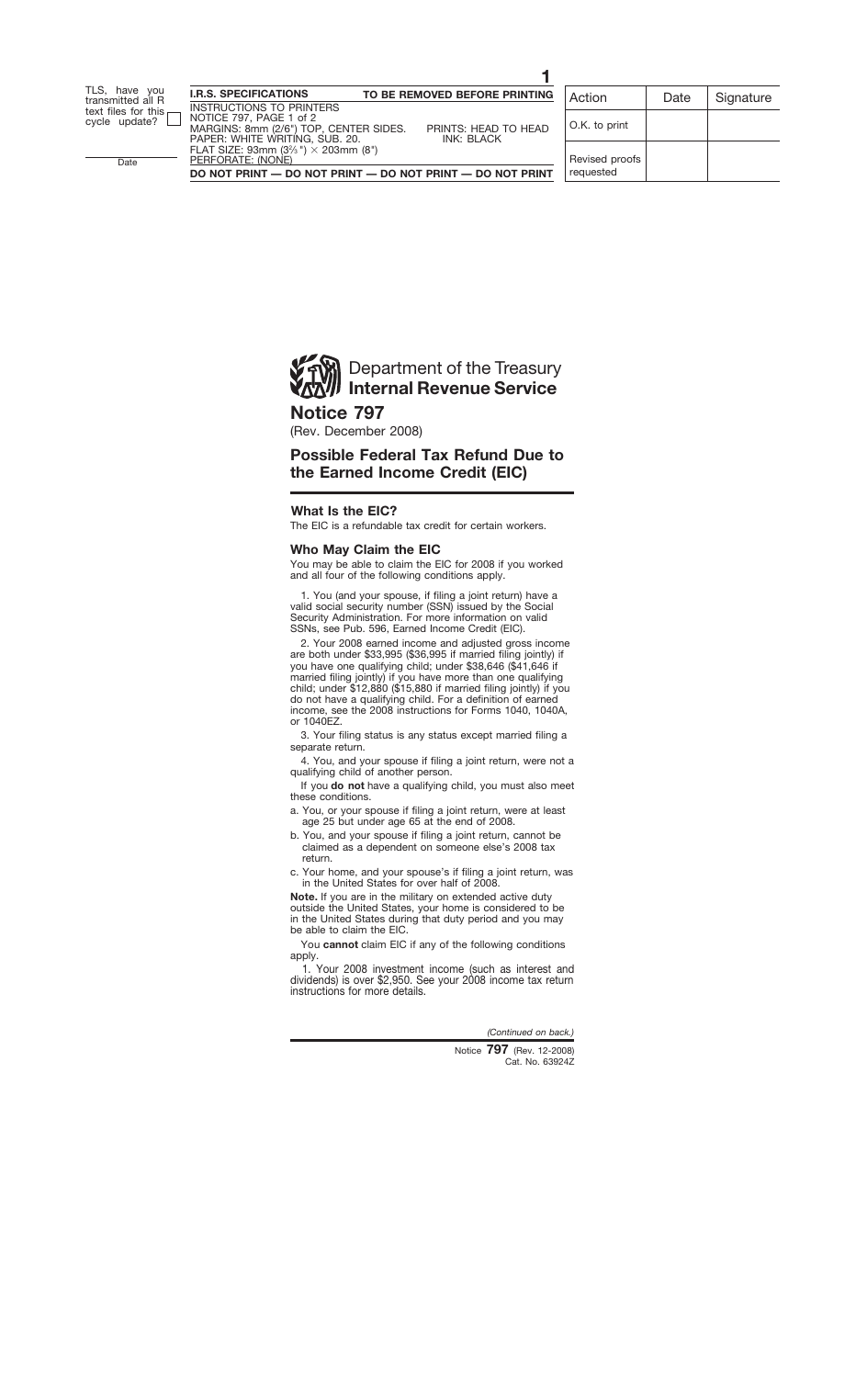

## **Notice 797**

(Rev. December 2008)

# **Possible Federal Tax Refund Due to the Earned Income Credit (EIC)**

## **What Is the EIC?**

The EIC is a refundable tax credit for certain workers.

### **Who May Claim the EIC**

You may be able to claim the EIC for 2008 if you worked and all four of the following conditions apply.

1. You (and your spouse, if filing a joint return) have a valid social security number (SSN) issued by the Social Security Administration. For more information on valid SSNs, see Pub. 596, Earned Income Credit (EIC).

2. Your 2008 earned income and adjusted gross income are both under \$33,995 (\$36,995 if married filing jointly) if you have one qualifying child; under \$38,646 (\$41,646 if married filing jointly) if you have more than one qualifying child; under \$12,880 (\$15,880 if married filing jointly) if you do not have a qualifying child. For a definition of earned income, see the 2008 instructions for Forms 1040, 1040A, or 1040EZ.

3. Your filing status is any status except married filing a separate return.

4. You, and your spouse if filing a joint return, were not a qualifying child of another person.

If you **do not** have a qualifying child, you must also meet these conditions.

- a. You, or your spouse if filing a joint return, were at least age 25 but under age 65 at the end of 2008.
- b. You, and your spouse if filing a joint return, cannot be claimed as a dependent on someone else's 2008 tax return.
- c. Your home, and your spouse's if filing a joint return, was in the United States for over half of 2008.

**Note.** If you are in the military on extended active duty outside the United States, your home is considered to be in the United States during that duty period and you may be able to claim the EIC.

You **cannot** claim EIC if any of the following conditions apply.

1. Your 2008 investment income (such as interest and dividends) is over \$2,950. See your 2008 income tax return instructions for more details.

*(Continued on back.)*

Cat. No. 63924Z Notice **797** (Rev. 12-2008)